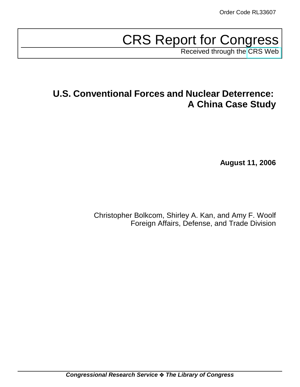# CRS Report for Congress

Received through the [CRS Web](http://www.fas.org/sgp/crs/natsec/index.html)

## **U.S. Conventional Forces and Nuclear Deterrence: A China Case Study**

**August 11, 2006**

Christopher Bolkcom, Shirley A. Kan, and Amy F. Woolf Foreign Affairs, Defense, and Trade Division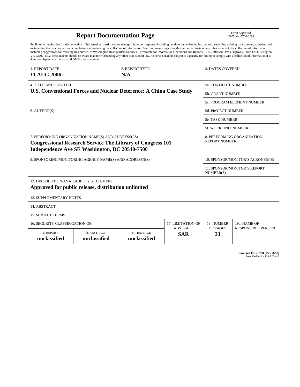| <b>Report Documentation Page</b>                                                                                                                                                                                                                                                                                                                                                                                                                                                                                                                                                                                                                                                                                                                                                                                                                                   |                             |                              |                                      |                                           | Form Approved<br>OMB No. 0704-0188                 |  |
|--------------------------------------------------------------------------------------------------------------------------------------------------------------------------------------------------------------------------------------------------------------------------------------------------------------------------------------------------------------------------------------------------------------------------------------------------------------------------------------------------------------------------------------------------------------------------------------------------------------------------------------------------------------------------------------------------------------------------------------------------------------------------------------------------------------------------------------------------------------------|-----------------------------|------------------------------|--------------------------------------|-------------------------------------------|----------------------------------------------------|--|
| Public reporting burden for the collection of information is estimated to average 1 hour per response, including the time for reviewing instructions, searching existing data sources, gathering and<br>maintaining the data needed, and completing and reviewing the collection of information. Send comments regarding this burden estimate or any other aspect of this collection of information,<br>including suggestions for reducing this burden, to Washington Headquarters Services, Directorate for Information Operations and Reports, 1215 Jefferson Davis Highway, Suite 1204, Arlington<br>VA 22202-4302. Respondents should be aware that notwithstanding any other provision of law, no person shall be subject to a penalty for failing to comply with a collection of information if it<br>does not display a currently valid OMB control number. |                             |                              |                                      |                                           |                                                    |  |
| 1. REPORT DATE                                                                                                                                                                                                                                                                                                                                                                                                                                                                                                                                                                                                                                                                                                                                                                                                                                                     |                             | 2. REPORT TYPE               |                                      | <b>3. DATES COVERED</b>                   |                                                    |  |
| <b>11 AUG 2006</b>                                                                                                                                                                                                                                                                                                                                                                                                                                                                                                                                                                                                                                                                                                                                                                                                                                                 |                             | N/A                          |                                      |                                           |                                                    |  |
| <b>4. TITLE AND SUBTITLE</b>                                                                                                                                                                                                                                                                                                                                                                                                                                                                                                                                                                                                                                                                                                                                                                                                                                       |                             |                              |                                      |                                           | 5a. CONTRACT NUMBER                                |  |
| U.S. Conventional Forces and Nuclear Deterence: A China Case Study                                                                                                                                                                                                                                                                                                                                                                                                                                                                                                                                                                                                                                                                                                                                                                                                 |                             |                              |                                      | <b>5b. GRANT NUMBER</b>                   |                                                    |  |
|                                                                                                                                                                                                                                                                                                                                                                                                                                                                                                                                                                                                                                                                                                                                                                                                                                                                    |                             |                              |                                      |                                           | 5c. PROGRAM ELEMENT NUMBER                         |  |
| 6. AUTHOR(S)                                                                                                                                                                                                                                                                                                                                                                                                                                                                                                                                                                                                                                                                                                                                                                                                                                                       |                             |                              | <b>5d. PROJECT NUMBER</b>            |                                           |                                                    |  |
|                                                                                                                                                                                                                                                                                                                                                                                                                                                                                                                                                                                                                                                                                                                                                                                                                                                                    |                             |                              | <b>5e. TASK NUMBER</b>               |                                           |                                                    |  |
|                                                                                                                                                                                                                                                                                                                                                                                                                                                                                                                                                                                                                                                                                                                                                                                                                                                                    |                             |                              |                                      | <b>5f. WORK UNIT NUMBER</b>               |                                                    |  |
| 7. PERFORMING ORGANIZATION NAME(S) AND ADDRESS(ES)<br><b>Congressional Research Service The Library of Congress 101</b><br>Independence Ave SE Washington, DC 20540-7500                                                                                                                                                                                                                                                                                                                                                                                                                                                                                                                                                                                                                                                                                           |                             |                              |                                      |                                           | 8. PERFORMING ORGANIZATION<br><b>REPORT NUMBER</b> |  |
| 9. SPONSORING/MONITORING AGENCY NAME(S) AND ADDRESS(ES)                                                                                                                                                                                                                                                                                                                                                                                                                                                                                                                                                                                                                                                                                                                                                                                                            |                             |                              | 10. SPONSOR/MONITOR'S ACRONYM(S)     |                                           |                                                    |  |
|                                                                                                                                                                                                                                                                                                                                                                                                                                                                                                                                                                                                                                                                                                                                                                                                                                                                    |                             |                              |                                      | 11. SPONSOR/MONITOR'S REPORT<br>NUMBER(S) |                                                    |  |
| <b>12. DISTRIBUTION/AVAILABILITY STATEMENT</b><br>Approved for public release, distribution unlimited                                                                                                                                                                                                                                                                                                                                                                                                                                                                                                                                                                                                                                                                                                                                                              |                             |                              |                                      |                                           |                                                    |  |
| <b>13. SUPPLEMENTARY NOTES</b>                                                                                                                                                                                                                                                                                                                                                                                                                                                                                                                                                                                                                                                                                                                                                                                                                                     |                             |                              |                                      |                                           |                                                    |  |
| 14. ABSTRACT                                                                                                                                                                                                                                                                                                                                                                                                                                                                                                                                                                                                                                                                                                                                                                                                                                                       |                             |                              |                                      |                                           |                                                    |  |
| <b>15. SUBJECT TERMS</b>                                                                                                                                                                                                                                                                                                                                                                                                                                                                                                                                                                                                                                                                                                                                                                                                                                           |                             |                              |                                      |                                           |                                                    |  |
| 16. SECURITY CLASSIFICATION OF:                                                                                                                                                                                                                                                                                                                                                                                                                                                                                                                                                                                                                                                                                                                                                                                                                                    |                             |                              | 17. LIMITATION OF<br><b>ABSTRACT</b> | 18. NUMBER<br>OF PAGES                    | 19a. NAME OF                                       |  |
| a. REPORT<br>unclassified                                                                                                                                                                                                                                                                                                                                                                                                                                                                                                                                                                                                                                                                                                                                                                                                                                          | b. ABSTRACT<br>unclassified | c. THIS PAGE<br>unclassified | <b>SAR</b>                           | 33                                        | <b>RESPONSIBLE PERSON</b>                          |  |

**Standard Form 298 (Rev. 8-98)**<br>Prescribed by ANSI Std Z39-18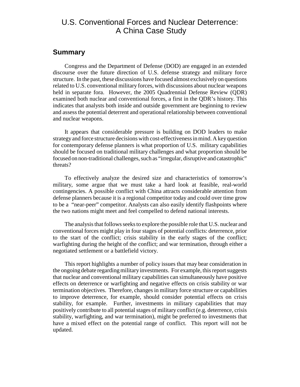## U.S. Conventional Forces and Nuclear Deterrence: A China Case Study

#### **Summary**

Congress and the Department of Defense (DOD) are engaged in an extended discourse over the future direction of U.S. defense strategy and military force structure. In the past, these discussions have focused almost exclusively on questions related to U.S. conventional military forces, with discussions about nuclear weapons held in separate fora. However, the 2005 Quadrennial Defense Review (QDR) examined both nuclear and conventional forces, a first in the QDR's history. This indicates that analysts both inside and outside government are beginning to review and assess the potential deterrent and operational relationship between conventional and nuclear weapons.

It appears that considerable pressure is building on DOD leaders to make strategy and force structure decisions with cost-effectiveness in mind. A key question for contemporary defense planners is what proportion of U.S. military capabilities should be focused on traditional military challenges and what proportion should be focused on non-traditional challenges, such as "irregular, disruptive and catastrophic" threats?

To effectively analyze the desired size and characteristics of tomorrow's military, some argue that we must take a hard look at feasible, real-world contingencies. A possible conflict with China attracts considerable attention from defense planners because it is a regional competitor today and could over time grow to be a "near-peer" competitor. Analysts can also easily identify flashpoints where the two nations might meet and feel compelled to defend national interests.

The analysis that follows seeks to explore the possible role that U.S. nuclear and conventional forces might play in four stages of potential conflicts: deterrence, prior to the start of the conflict; crisis stability in the early stages of the conflict; warfighting during the height of the conflict; and war termination, through either a negotiated settlement or a battlefield victory.

This report highlights a number of policy issues that may bear consideration in the ongoing debate regarding military investments. For example, this report suggests that nuclear and conventional military capabilities can simultaneously have positive effects on deterrence or warfighting and negative effects on crisis stability or war termination objectives. Therefore, changes in military force structure or capabilities to improve deterrence, for example, should consider potential effects on crisis stability, for example. Further, investments in military capabilities that may positively contribute to all potential stages of military conflict (e.g. deterrence, crisis stability, warfighting, and war termination), might be preferred to investments that have a mixed effect on the potential range of conflict. This report will not be updated.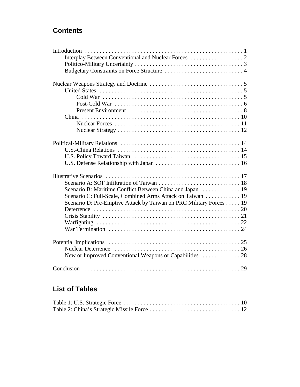## **Contents**

| Scenario B: Maritime Conflict Between China and Japan  19          |
|--------------------------------------------------------------------|
| Scenario C: Full-Scale, Combined Arms Attack on Taiwan 19          |
| Scenario D: Pre-Emptive Attack by Taiwan on PRC Military Forces 19 |
|                                                                    |
|                                                                    |
|                                                                    |
|                                                                    |
|                                                                    |
|                                                                    |
| New or Improved Conventional Weapons or Capabilities  28           |
|                                                                    |

## **List of Tables**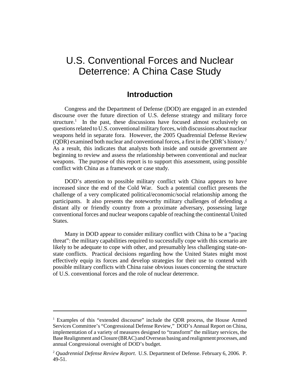## U.S. Conventional Forces and Nuclear Deterrence: A China Case Study

## **Introduction**

Congress and the Department of Defense (DOD) are engaged in an extended discourse over the future direction of U.S. defense strategy and military force structure.<sup>1</sup> In the past, these discussions have focused almost exclusively on questions related to U.S. conventional military forces, with discussions about nuclear weapons held in separate fora. However, the 2005 Quadrennial Defense Review (QDR) examined both nuclear and conventional forces, a first in the QDR's history.<sup>2</sup> As a result, this indicates that analysts both inside and outside government are beginning to review and assess the relationship between conventional and nuclear weapons. The purpose of this report is to support this assessment, using possible conflict with China as a framework or case study.

DOD's attention to possible military conflict with China appears to have increased since the end of the Cold War. Such a potential conflict presents the challenge of a very complicated political/economic/social relationship among the participants. It also presents the noteworthy military challenges of defending a distant ally or friendly country from a proximate adversary, possessing large conventional forces and nuclear weapons capable of reaching the continental United States.

Many in DOD appear to consider military conflict with China to be a "pacing threat": the military capabilities required to successfully cope with this scenario are likely to be adequate to cope with other, and presumably less challenging state-onstate conflicts. Practical decisions regarding how the United States might most effectively equip its forces and develop strategies for their use to contend with possible military conflicts with China raise obvious issues concerning the structure of U.S. conventional forces and the role of nuclear deterrence.

<sup>&</sup>lt;sup>1</sup> Examples of this "extended discourse" include the QDR process, the House Armed Services Committee's "Congressional Defense Review," DOD's Annual Report on China, implementation of a variety of measures designed to "transform" the military services, the Base Realignment and Closure (BRAC) and Overseas basing and realignment processes, and annual Congressional oversight of DOD's budget.

<sup>2</sup> *Quadrennial Defense Review Report*. U.S. Department of Defense. February 6, 2006. P. 49-51.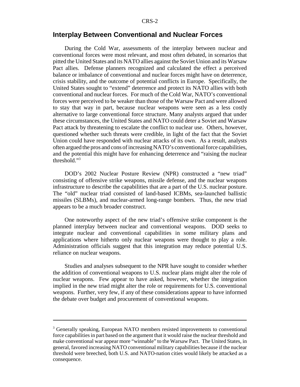#### **Interplay Between Conventional and Nuclear Forces**

During the Cold War, assessments of the interplay between nuclear and conventional forces were most relevant, and most often debated, in scenarios that pitted the United States and its NATO allies against the Soviet Union and its Warsaw Pact allies. Defense planners recognized and calculated the effect a perceived balance or imbalance of conventional and nuclear forces might have on deterrence, crisis stability, and the outcome of potential conflicts in Europe. Specifically, the United States sought to "extend" deterrence and protect its NATO allies with both conventional and nuclear forces. For much of the Cold War, NATO's conventional forces were perceived to be weaker than those of the Warsaw Pact and were allowed to stay that way in part, because nuclear weapons were seen as a less costly alternative to large conventional force structure. Many analysts argued that under these circumstances, the United States and NATO could deter a Soviet and Warsaw Pact attack by threatening to escalate the conflict to nuclear use. Others, however, questioned whether such threats were credible, in light of the fact that the Soviet Union could have responded with nuclear attacks of its own. As a result, analysts often argued the pros and cons of increasing NATO's conventional force capabilities, and the potential this might have for enhancing deterrence and "raising the nuclear threshold."3

DOD's 2002 Nuclear Posture Review (NPR) constructed a "new triad" consisting of offensive strike weapons, missile defense, and the nuclear weapons infrastructure to describe the capabilities that are a part of the U.S. nuclear posture. The "old" nuclear triad consisted of land-based ICBMs, sea-launched ballistic missiles (SLBMs), and nuclear-armed long-range bombers. Thus, the new triad appears to be a much broader construct.

One noteworthy aspect of the new triad's offensive strike component is the planned interplay between nuclear and conventional weapons. DOD seeks to integrate nuclear and conventional capabilities in some military plans and applications where hitherto only nuclear weapons were thought to play a role. Administration officials suggest that this integration may reduce potential U.S. reliance on nuclear weapons.

Studies and analyses subsequent to the NPR have sought to consider whether the addition of conventional weapons to U.S. nuclear plans might alter the role of nuclear weapons. Few appear to have asked, however, whether the integration implied in the new triad might alter the role or requirements for U.S. conventional weapons. Further, very few, if any of these considerations appear to have informed the debate over budget and procurement of conventional weapons.

<sup>&</sup>lt;sup>3</sup> Generally speaking, European NATO members resisted improvements to conventional force capabilities in part based on the argument that it would raise the nuclear threshold and make conventional war appear more "winnable" to the Warsaw Pact. The United States, in general, favored increasing NATO conventional military capabilities because if the nuclear threshold were breeched, both U.S. and NATO-nation cities would likely be attacked as a consequence.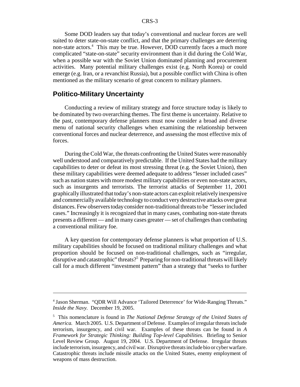Some DOD leaders say that today's conventional and nuclear forces are well suited to deter state-on-state conflict, and that the primary challenges are deterring non-state actors.<sup>4</sup> This may be true. However, DOD currently faces a much more complicated "state-on-state" security environment than it did during the Cold War, when a possible war with the Soviet Union dominated planning and procurement activities. Many potential military challenges exist (e.g. North Korea) or could emerge (e.g. Iran, or a revanchist Russia), but a possible conflict with China is often mentioned as the military scenario of great concern to military planners.

### **Politico-Military Uncertainty**

Conducting a review of military strategy and force structure today is likely to be dominated by two overarching themes. The first theme is uncertainty. Relative to the past, contemporary defense planners must now consider a broad and diverse menu of national security challenges when examining the relationship between conventional forces and nuclear deterrence, and assessing the most effective mix of forces.

During the Cold War, the threats confronting the United States were reasonably well understood and comparatively predictable. If the United States had the military capabilities to deter or defeat its most stressing threat (e.g. the Soviet Union), then these military capabilities were deemed adequate to address "lesser included cases" such as nation states with more modest military capabilities or even non-state actors, such as insurgents and terrorists. The terrorist attacks of September 11, 2001 graphically illustrated that today's non-state actors can exploit relatively inexpensive and commercially available technology to conduct very destructive attacks over great distances. Few observers today consider non-traditional threats to be "lesser included cases." Increasingly it is recognized that in many cases, combating non-state threats presents a different — and in many cases greater — set of challenges than combating a conventional military foe.

A key question for contemporary defense planners is what proportion of U.S. military capabilities should be focused on traditional military challenges and what proportion should be focused on non-traditional challenges, such as "irregular, disruptive and catastrophic" threats?<sup>5</sup> Preparing for non-traditional threats will likely call for a much different "investment pattern" than a strategy that "seeks to further

<sup>4</sup> Jason Sherman. "QDR Will Advance 'Tailored Deterrence' for Wide-Ranging Threats." *Inside the Navy.* December 19, 2005.

<sup>5</sup> This nomenclature is found in *The National Defense Strategy of the United States of America.* March 2005. U.S. Department of Defense. Examples of irregular threats include terrorism, insurgency, and civil war. Examples of these threats can be found in *A Framework for Strategic Thinking: Building Top-level Capabilities.* Briefing to Senior Level Review Group. August 19, 2004. U.S. Department of Defense. Irregular threats include terrorism, insurgency, and civil war. Disruptive threats include bio or cyber warfare. Catastrophic threats include missile attacks on the United States, enemy employment of weapons of mass destruction.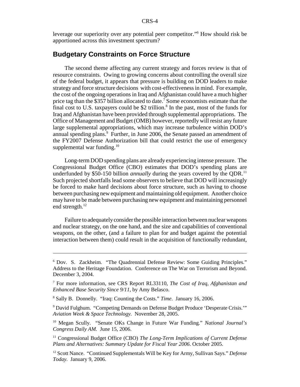leverage our superiority over any potential peer competitor."6 How should risk be apportioned across this investment spectrum?

## **Budgetary Constraints on Force Structure**

The second theme affecting any current strategy and forces review is that of resource constraints. Owing to growing concerns about controlling the overall size of the federal budget, it appears that pressure is building on DOD leaders to make strategy and force structure decisions with cost-effectiveness in mind. For example, the cost of the ongoing operations in Iraq and Afghanistan could have a much higher price tag than the \$357 billion allocated to date.<sup>7</sup> Some economists estimate that the final cost to U.S. taxpayers could be \$2 trillion. $8$  In the past, most of the funds for Iraq and Afghanistan have been provided through supplemental appropriations. The Office of Management and Budget (OMB) however, reportedly will resist any future large supplemental appropriations, which may increase turbulence within DOD's annual spending plans.<sup>9</sup> Further, in June 2006, the Senate passed an amendment of the FY2007 Defense Authorization bill that could restrict the use of emergency supplemental war funding. $^{10}$ 

Long-term DOD spending plans are already experiencing intense pressure. The Congressional Budget Office (CBO) estimates that DOD's spending plans are underfunded by \$50-150 billion *annually* during the years covered by the QDR.<sup>11</sup> Such projected shortfalls lead some observers to believe that DOD will increasingly be forced to make hard decisions about force structure, such as having to choose between purchasing new equipment and maintaining old equipment. Another choice may have to be made between purchasing new equipment and maintaining personnel end strength.<sup>12</sup>

Failure to adequately consider the possible interaction between nuclear weapons and nuclear strategy, on the one hand, and the size and capabilities of conventional weapons, on the other, (and a failure to plan for and budget against the potential interaction between them) could result in the acquisition of functionally redundant,

<sup>6</sup> Dov. S. Zackheim. "The Quadrennial Defense Review: Some Guiding Principles." Address to the Heritage Foundation. Conference on The War on Terrorism and Beyond. December 3, 2004.

<sup>7</sup> For more information, see CRS Report RL33110, *The Cost of Iraq, Afghanistan and Enhanced Base Security Since 9/11*, by Amy Belasco.

<sup>8</sup> Sally B. Donnelly. "Iraq: Counting the Costs." *Time*. January 16, 2006.

<sup>&</sup>lt;sup>9</sup> David Fulghum. "Competing Demands on Defense Budget Produce 'Desperate Crisis."" *Aviation Week & Space Technology.* November 28, 2005.

<sup>10</sup> Megan Scully. "Senate OKs Change in Future War Funding." *National Journal's Congress Daily AM.* June 15, 2006.

<sup>&</sup>lt;sup>11</sup> Congressional Budget Office (CBO) *The Long-Term Implications of Current Defense Plans and Alternatives: Summary Update for Fiscal Year 2006*. October 2005.

<sup>12</sup> Scott Nance. "Continued Supplementals Will be Key for Army, Sullivan Says." *Defense Today.* January 9, 2006.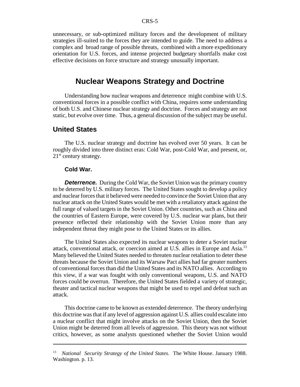unnecessary, or sub-optimized military forces and the development of military strategies ill-suited to the forces they are intended to guide. The need to address a complex and broad range of possible threats, combined with a more expeditionary orientation for U.S. forces, and intense projected budgetary shortfalls make cost effective decisions on force structure and strategy unusually important.

## **Nuclear Weapons Strategy and Doctrine**

Understanding how nuclear weapons and deterrence might combine with U.S. conventional forces in a possible conflict with China, requires some understanding of both U.S. and Chinese nuclear strategy and doctrine. Forces and strategy are not static, but evolve over time. Thus, a general discussion of the subject may be useful.

## **United States**

The U.S. nuclear strategy and doctrine has evolved over 50 years. It can be roughly divided into three distinct eras: Cold War, post-Cold War, and present, or,  $21<sup>st</sup>$  century strategy.

#### **Cold War.**

**Deterrence.** During the Cold War, the Soviet Union was the primary country to be deterred by U.S. military forces. The United States sought to develop a policy and nuclear forces that it believed were needed to convince the Soviet Union that any nuclear attack on the United States would be met with a retaliatory attack against the full range of valued targets in the Soviet Union. Other countries, such as China and the countries of Eastern Europe, were covered by U.S. nuclear war plans, but their presence reflected their relationship with the Soviet Union more than any independent threat they might pose to the United States or its allies.

The United States also expected its nuclear weapons to deter a Soviet nuclear attack, conventional attack, or coercion aimed at U.S. allies in Europe and Asia.13 Many believed the United States needed to threaten nuclear retaliation to deter these threats because the Soviet Union and its Warsaw Pact allies had far greater numbers of conventional forces than did the United States and its NATO allies. According to this view, if a war was fought with only conventional weapons, U.S. and NATO forces could be overrun. Therefore, the United States fielded a variety of strategic, theater and tactical nuclear weapons that might be used to repel and defeat such an attack.

This doctrine came to be known as extended deterrence. The theory underlying this doctrine was that if any level of aggression against U.S. allies could escalate into a nuclear conflict that might involve attacks on the Soviet Union, then the Soviet Union might be deterred from all levels of aggression. This theory was not without critics, however, as some analysts questioned whether the Soviet Union would

<sup>13</sup> *National Security Strategy of the United States*. The White House. January 1988. Washington. p. 13.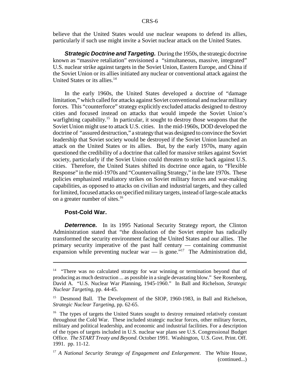believe that the United States would use nuclear weapons to defend its allies, particularly if such use might invite a Soviet nuclear attack on the United States.

*Strategic Doctrine and Targeting.* During the 1950s, the strategic doctrine known as "massive retaliation" envisioned a "simultaneous, massive, integrated" U.S. nuclear strike against targets in the Soviet Union, Eastern Europe, and China if the Soviet Union or its allies initiated any nuclear or conventional attack against the United States or its allies.<sup>14</sup>

In the early 1960s, the United States developed a doctrine of "damage limitation," which called for attacks against Soviet conventional and nuclear military forces. This "counterforce" strategy explicitly excluded attacks designed to destroy cities and focused instead on attacks that would impede the Soviet Union's warfighting capability.<sup>15</sup> In particular, it sought to destroy those weapons that the Soviet Union might use to attack U.S. cities. In the mid-1960s, DOD developed the doctrine of "assured destruction," a strategy that was designed to convince the Soviet leadership that Soviet society would be destroyed if the Soviet Union launched an attack on the United States or its allies. But, by the early 1970s, many again questioned the credibility of a doctrine that called for massive strikes against Soviet society, particularly if the Soviet Union could threaten to strike back against U.S. cities. Therefore, the United States shifted its doctrine once again, to "Flexible Response" in the mid-1970s and "Countervailing Strategy," in the late 1970s. These policies emphasized retaliatory strikes on Soviet military forces and war-making capabilities, as opposed to attacks on civilian and industrial targets, and they called for limited, focused attacks on specified military targets, instead of large-scale attacks on a greater number of sites.16

#### **Post-Cold War.**

**Deterrence.** In its 1995 National Security Strategy report, the Clinton Administration stated that "the dissolution of the Soviet empire has radically transformed the security environment facing the United States and our allies. The primary security imperative of the past half century — containing communist expansion while preventing nuclear war  $-$  is gone."<sup>17</sup> The Administration did,

<sup>&</sup>lt;sup>14</sup> "There was no calculated strategy for war winning or termination beyond that of producing as much destruction ... as possible in a single devastating blow." See Rosenberg, David A. "U.S. Nuclear War Planning, 1945-1960." In Ball and Richelson, *Strategic Nuclear Targeting*, pp. 44-45.

<sup>&</sup>lt;sup>15</sup> Desmond Ball. The Development of the SIOP, 1960-1983, in Ball and Richelson, *Strategic Nuclear Targeting*, pp. 62-65.

<sup>&</sup>lt;sup>16</sup> The types of targets the United States sought to destroy remained relatively constant throughout the Cold War. These included strategic nuclear forces, other military forces, military and political leadership, and economic and industrial facilities. For a description of the types of targets included in U.S. nuclear war plans see U.S. Congressional Budget Office. *The START Treaty and Beyond*. October 1991. Washington, U.S. Govt. Print. Off. 1991. pp. 11-12.

<sup>17</sup> *A National Security Strategy of Engagement and Enlargement*. The White House, (continued...)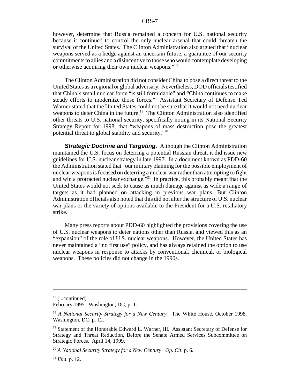however, determine that Russia remained a concern for U.S. national security because it continued to control the only nuclear arsenal that could threaten the survival of the United States. The Clinton Administration also argued that "nuclear weapons served as a hedge against an uncertain future, a guarantee of our security commitments to allies and a disincentive to those who would contemplate developing or otherwise acquiring their own nuclear weapons."18

The Clinton Administration did not consider China to pose a direct threat to the United States as a regional or global adversary. Nevertheless, DOD officials testified that China's small nuclear force "is still formidable" and "China continues to make steady efforts to modernize those forces." Assistant Secretary of Defense Ted Warner stated that the United States could not be sure that it would not need nuclear weapons to deter China in the future.<sup>19</sup> The Clinton Administration also identified other threats to U.S. national security, specifically noting in its National Security Strategy Report for 1998, that "weapons of mass destruction pose the greatest potential threat to global stability and security."20

*Strategic Doctrine and Targeting. Although the Clinton Administration* maintained the U.S. focus on deterring a potential Russian threat, it did issue new guidelines for U.S. nuclear strategy in late 1997. In a document known as PDD-60 the Administration stated that "our military planning for the possible employment of nuclear weapons is focused on deterring a nuclear war rather than attempting to fight and win a protracted nuclear exchange.<sup>"21</sup> In practice, this probably meant that the United States would not seek to cause as much damage against as wide a range of targets as it had planned on attacking in previous war plans. But Clinton Administration officials also noted that this did not alter the structure of U.S. nuclear war plans or the variety of options available to the President for a U.S. retaliatory strike.

Many press reports about PDD-60 highlighted the provisions covering the use of U.S. nuclear weapons to deter nations other than Russia, and viewed this as an "expansion" of the role of U.S. nuclear weapons. However, the United States has never maintained a "no first use" policy, and has always retained the option to use nuclear weapons in response to attacks by conventional, chemical, or biological weapons. These policies did not change in the 1990s.

 $17$  (...continued)

February 1995. Washington, DC, p. 1.

<sup>18</sup> *A National Security Strategy for a New Century*. The White House, October 1998. Washington, DC, p. 12.

<sup>&</sup>lt;sup>19</sup> Statement of the Honorable Edward L. Warner, III. Assistant Secretary of Defense for Strategy and Threat Reduction, Before the Senate Armed Services Subcommittee on Strategic Forces. April 14, 1999.

<sup>20</sup> *A National Security Strategy for a New Century*. *Op. Cit*. p. 6.

<sup>21</sup> *Ibid*. p. 12.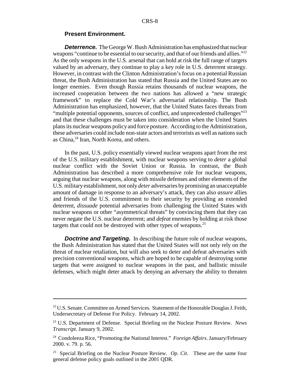#### **Present Environment.**

**Deterrence.** The George W. Bush Administration has emphasized that nuclear weapons "continue to be essential to our security, and that of our friends and allies."<sup>22</sup> As the only weapons in the U.S. arsenal that can hold at risk the full range of targets valued by an adversary, they continue to play a key role in U.S. deterrent strategy. However, in contrast with the Clinton Administration's focus on a potential Russian threat, the Bush Administration has stated that Russia and the United States are no longer enemies. Even though Russia retains thousands of nuclear weapons, the increased cooperation between the two nations has allowed a "new strategic framework" to replace the Cold War's adversarial relationship. The Bush Administration has emphasized, however, that the United States faces threats from "multiple potential opponents, sources of conflict, and unprecedented challenges"<sup>23</sup> and that these challenges must be taken into consideration when the United States plans its nuclear weapons policy and force posture. According to the Administration, these adversaries could include non-state actors and terrorists as well as nations such as China,<sup>24</sup> Iran, North Korea, and others.

In the past, U.S. policy essentially viewed nuclear weapons apart from the rest of the U.S. military establishment, with nuclear weapons serving to *deter* a global nuclear conflict with the Soviet Union or Russia. In contrast, the Bush Administration has described a more comprehensive role for nuclear weapons, arguing that nuclear weapons, along with missile defenses and other elements of the U.S. military establishment, not only *deter* adversaries by promising an unacceptable amount of damage in response to an adversary's attack, they can also *assure* allies and friends of the U.S. commitment to their security by providing an extended deterrent, *dissuade* potential adversaries from challenging the United States with nuclear weapons or other "asymmetrical threats" by convincing them that they can never negate the U.S. nuclear deterrent; and *defeat* enemies by holding at risk those targets that could not be destroyed with other types of weapons.<sup>25</sup>

**Doctrine and Targeting.** In describing the future role of nuclear weapons, the Bush Administration has stated that the United States will not only rely on the threat of nuclear retaliation, but will also seek to deter and defeat adversaries with precision conventional weapons, which are hoped to be capable of destroying some targets that were assigned to nuclear weapons in the past, and ballistic missile defenses, which might deter attack by denying an adversary the ability to threaten

<sup>&</sup>lt;sup>22</sup> U.S. Senate. Committee on Armed Services. Statement of the Honorable Douglas J. Feith, Undersecretary of Defense For Policy. February 14, 2002.

<sup>23</sup> U.S. Department of Defense. Special Briefing on the Nuclear Posture Review. *News Transcript.* January 9, 2002.

<sup>24</sup> Condoleeza Rice, "Promoting the National Interest." *Foreign Affairs*. January/February 2000. v. 79. p. 56.

<sup>25</sup> Special Briefing on the Nuclear Posture Review. *Op. Cit*. These are the same four general defense policy goals outlined in the 2001 QDR.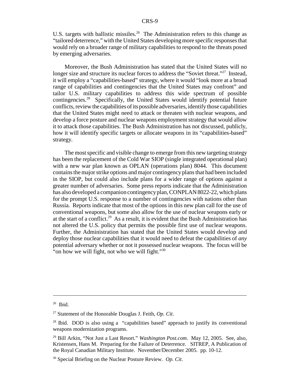U.S. targets with ballistic missiles.<sup>26</sup> The Administration refers to this change as "tailored deterrence," with the United States developing more specific responses that would rely on a broader range of military capabilities to respond to the threats posed by emerging adversaries.

Moreover, the Bush Administration has stated that the United States will no longer size and structure its nuclear forces to address the "Soviet threat."<sup>27</sup> Instead, it will employ a "capabilities-based" strategy, where it would "look more at a broad range of capabilities and contingencies that the United States may confront" and tailor U.S. military capabilities to address this wide spectrum of possible contingencies.28 Specifically, the United States would identify potential future conflicts, review the capabilities of its possible adversaries, identify those capabilities that the United States might need to attack or threaten with nuclear weapons, and develop a force posture and nuclear weapons employment strategy that would allow it to attack those capabilities. The Bush Administration has not discussed, publicly, how it will identify specific targets or allocate weapons in its "capabilities-based" strategy.

The most specific and visible change to emerge from this new targeting strategy has been the replacement of the Cold War SIOP (single integrated operational plan) with a new war plan known as OPLAN (operations plan) 8044. This document contains the major strike options and major contingency plans that had been included in the SIOP, but could also include plans for a wider range of options against a greater number of adversaries. Some press reports indicate that the Administration has also developed a companion contingency plan, CONPLAN 8022-22, which plans for the prompt U.S. response to a number of contingencies with nations other than Russia. Reports indicate that most of the options in this new plan call for the use of conventional weapons, but some also allow for the use of nuclear weapons early or at the start of a conflict.<sup>29</sup> As a result, it is evident that the Bush Administration has not altered the U.S. policy that permits the possible first use of nuclear weapons. Further, the Administration has stated that the United States would develop and deploy those nuclear capabilities that it would need to defeat the capabilities of *any* potential adversary whether or not it possessed nuclear weapons. The focus will be "on how we will fight, not who we will fight." $30$ "

<sup>26</sup> Ibid.

<sup>27</sup> Statement of the Honorable Douglas J. Feith, *Op. Cit*.

 $28$  Ibid. DOD is also using a "capabilities based" approach to justify its conventional weapons modernization programs.

<sup>29</sup> Bill Arkin, "Not Just a Last Resort." *Washington Post.com*. May 12, 2005. See, also, Kristensen, Hans M. Preparing for the Failure of Deterrence. SITREP, A Publication of the Royal Canadian Military Institute. November/December 2005. pp. 10-12.

<sup>30</sup> Special Briefing on the Nuclear Posture Review. *Op. Cit*.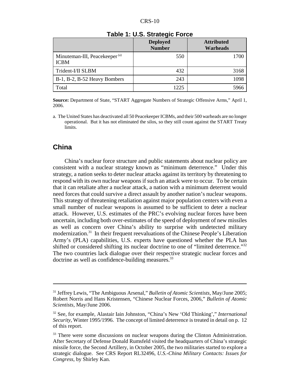|                                                          | <b>Deployed</b><br><b>Number</b> | <b>Attributed</b><br><b>Warheads</b> |
|----------------------------------------------------------|----------------------------------|--------------------------------------|
| Minuteman-III, Peacekeeper <sup>(a)</sup><br><b>ICBM</b> | 550                              | 1700                                 |
| Trident-I/II SLBM                                        | 432                              | 3168                                 |
| B-1, B-2, B-52 Heavy Bombers                             | 243                              | 1098                                 |
| Total                                                    | 1225                             | 5966                                 |

#### **Table 1: U.S. Strategic Force**

**Source:** Department of State, "START Aggregate Numbers of Strategic Offensive Arms," April 1, 2006.

a. The United States has deactivated all 50 Peacekeeper ICBMs, and their 500 warheads are no longer operational. But it has not eliminated the silos, so they still count against the START Treaty limits.

## **China**

China's nuclear force structure and public statements about nuclear policy are consistent with a nuclear strategy known as "minimum deterrence." Under this strategy, a nation seeks to deter nuclear attacks against its territory by threatening to respond with its own nuclear weapons if such an attack were to occur. To be certain that it can retaliate after a nuclear attack, a nation with a minimum deterrent would need forces that could survive a direct assault by another nation's nuclear weapons. This strategy of threatening retaliation against major population centers with even a small number of nuclear weapons is assumed to be sufficient to deter a nuclear attack. However, U.S. estimates of the PRC's evolving nuclear forces have been uncertain, including both over-estimates of the speed of deployment of new missiles as well as concern over China's ability to surprise with undetected military modernization.<sup>31</sup> In their frequent reevaluations of the Chinese People's Liberation Army's (PLA) capabilities, U.S. experts have questioned whether the PLA has shifted or considered shifting its nuclear doctrine to one of "limited deterrence."<sup>32</sup> The two countries lack dialogue over their respective strategic nuclear forces and doctrine as well as confidence-building measures.<sup>33</sup>

<sup>31</sup> Jeffrey Lewis, "The Ambiguous Arsenal," *Bulletin of Atomic Scientists*, May/June 2005; Robert Norris and Hans Kristensen, "Chinese Nuclear Forces, 2006," *Bulletin of Atomic Scientists*, May/June 2006.

<sup>32</sup> See, for example, Alastair Iain Johnston, "China's New 'Old Thinking'," *International Security*, Winter 1995/1996. The concept of limited deterrence is treated in detail on p. 12 of this report.

<sup>&</sup>lt;sup>33</sup> There were some discussions on nuclear weapons during the Clinton Administration. After Secretary of Defense Donald Rumsfeld visited the headquarters of China's strategic missile force, the Second Artillery, in October 2005, the two militaries started to explore a strategic dialogue. See CRS Report RL32496, *U.S.-China Military Contacts: Issues for Congress*, by Shirley Kan.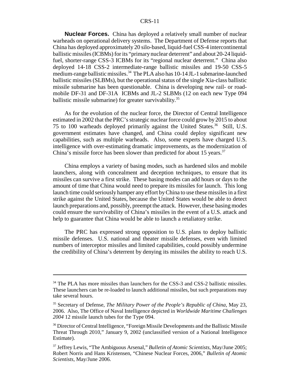**Nuclear Forces.** China has deployed a relatively small number of nuclear warheads on operational delivery systems. The Department of Defense reports that China has deployed approximately 20 silo-based, liquid-fuel CSS-4 intercontinental ballistic missiles (ICBMs) for its "primary nuclear deterrent" and about 20-24 liquidfuel, shorter-range CSS-3 ICBMs for its "regional nuclear deterrent." China also deployed 14-18 CSS-2 intermediate-range ballistic missiles and 19-50 CSS-5 medium-range ballistic missiles.<sup>34</sup> The PLA also has 10-14 JL-1 submarine-launched ballistic missiles (SLBMs), but the operational status of the single Xia-class ballistic missile submarine has been questionable. China is developing new rail- or roadmobile DF-31 and DF-31A ICBMs and JL-2 SLBMs (12 on each new Type 094 ballistic missile submarine) for greater survivability.<sup>35</sup>

As for the evolution of the nuclear force, the Director of Central Intelligence estimated in 2002 that the PRC's strategic nuclear force could grow by 2015 to about 75 to 100 warheads deployed primarily against the United States.<sup>36</sup> Still, U.S. government estimates have changed, and China could deploy significant new capabilities, such as multiple warheads. Also, some experts have charged U.S. intelligence with over-estimating dramatic improvements, as the modernization of China's missile force has been slower than predicted for about 15 years.<sup>37</sup>

China employs a variety of basing modes, such as hardened silos and mobile launchers, along with concealment and deception techniques, to ensure that its missiles can survive a first strike. These basing modes can add hours or days to the amount of time that China would need to prepare its missiles for launch. This long launch time could seriously hamper any effort by China to use these missiles in a first strike against the United States, because the United States would be able to detect launch preparations and, possibly, preempt the attack. However, these basing modes could ensure the survivability of China's missiles in the event of a U.S. attack and help to guarantee that China would be able to launch a retaliatory strike.

The PRC has expressed strong opposition to U.S. plans to deploy ballistic missile defenses. U.S. national and theater missile defenses, even with limited numbers of interceptor missiles and limited capabilities, could possibly undermine the credibility of China's deterrent by denying its missiles the ability to reach U.S.

<sup>&</sup>lt;sup>34</sup> The PLA has more missiles than launchers for the CSS-3 and CSS-2 ballistic missiles. These launchers can be re-loaded to launch additional missiles, but such preparations may take several hours.

<sup>35</sup> Secretary of Defense, *The Military Power of the People's Republic of China*, May 23, 2006. Also, The Office of Naval Intelligence depicted in *Worldwide Maritime Challenges 2004* 12 missile launch tubes for the Type 094.

<sup>&</sup>lt;sup>36</sup> Director of Central Intelligence, "Foreign Missile Developments and the Ballistic Missile Threat Through 2010," January 9, 2002 (unclassified version of a National Intelligence Estimate).

<sup>37</sup> Jeffrey Lewis, "The Ambiguous Arsenal," *Bulletin of Atomic Scientists*, May/June 2005; Robert Norris and Hans Kristensen, "Chinese Nuclear Forces, 2006," *Bulletin of Atomic Scientists*, May/June 2006.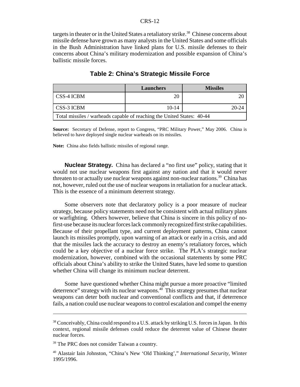targets in theater or in the United States a retaliatory strike.<sup>38</sup> Chinese concerns about missile defense have grown as many analysts in the United States and some officials in the Bush Administration have linked plans for U.S. missile defenses to their concerns about China's military modernization and possible expansion of China's ballistic missile forces.

|                                                                        | Launchers | <b>Missiles</b> |  |  |
|------------------------------------------------------------------------|-----------|-----------------|--|--|
| I CSS-4 ICBM                                                           | 20        |                 |  |  |
| CSS-3 ICBM                                                             | $10-14$   | $20 - 24$       |  |  |
| Total missiles / warheads capable of reaching the United States: 40-44 |           |                 |  |  |

#### **Table 2: China's Strategic Missile Force**

**Source:** Secretary of Defense, report to Congress, "PRC Military Power," May 2006. China is believed to have deployed single nuclear warheads on its missiles.

**Note:** China also fields ballistic missiles of regional range.

**Nuclear Strategy.** China has declared a "no first use" policy, stating that it would not use nuclear weapons first against any nation and that it would never threaten to or actually use nuclear weapons against non-nuclear nations.<sup>39</sup> China has not, however, ruled out the use of nuclear weapons in retaliation for a nuclear attack. This is the essence of a minimum deterrent strategy.

Some observers note that declaratory policy is a poor measure of nuclear strategy, because policy statements need not be consistent with actual military plans or warfighting. Others however, believe that China is sincere in this policy of nofirst-use because its nuclear forces lack commonly recognized first strike capabilities. Because of their propellant type, and current deployment patterns, China cannot launch its missiles promptly, upon warning of an attack or early in a crisis, and add that the missiles lack the accuracy to destroy an enemy's retaliatory forces, which could be a key objective of a nuclear force strike. The PLA's strategic nuclear modernization, however, combined with the occasional statements by some PRC officials about China's ability to strike the United States, have led some to question whether China will change its minimum nuclear deterrent.

Some have questioned whether China might pursue a more proactive "limited deterrence" strategy with its nuclear weapons. $40$  This strategy presumes that nuclear weapons can deter both nuclear and conventional conflicts and that, if deterrence fails, a nation could use nuclear weapons to control escalation and compel the enemy

<sup>&</sup>lt;sup>38</sup> Conceivably, China could respond to a U.S. attack by striking U.S. forces in Japan. In this context, regional missile defenses could reduce the deterrent value of Chinese theater nuclear forces.

<sup>&</sup>lt;sup>39</sup> The PRC does not consider Taiwan a country.

<sup>40</sup> Alastair Iain Johnston, "China's New 'Old Thinking'," *International Security*, Winter 1995/1996.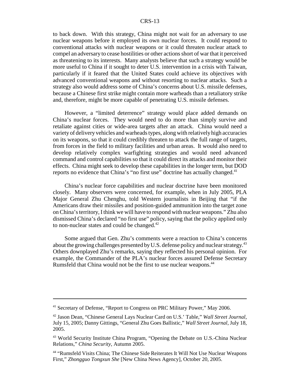to back down. With this strategy, China might not wait for an adversary to use nuclear weapons before it employed its own nuclear forces. It could respond to conventional attacks with nuclear weapons or it could threaten nuclear attack to compel an adversary to cease hostilities or other actions short of war that it perceived as threatening to its interests. Many analysts believe that such a strategy would be more useful to China if it sought to deter U.S. intervention in a crisis with Taiwan, particularly if it feared that the United States could achieve its objectives with advanced conventional weapons and without resorting to nuclear attacks. Such a strategy also would address some of China's concerns about U.S. missile defenses, because a Chinese first strike might contain more warheads than a retaliatory strike and, therefore, might be more capable of penetrating U.S. missile defenses.

However, a "limited deterrence" strategy would place added demands on China's nuclear forces. They would need to do more than simply survive and retaliate against cities or wide-area targets after an attack. China would need a variety of delivery vehicles and warheads types, along with relatively high accuracies on its weapons, so that it could credibly threaten to attack the full range of targets, from forces in the field to military facilities and urban areas. It would also need to develop relatively complex warfighting strategies and would need advanced command and control capabilities so that it could direct its attacks and monitor their effects. China might seek to develop these capabilities in the longer term, but DOD reports no evidence that China's "no first use" doctrine has actually changed.<sup>41</sup>

China's nuclear force capabilities and nuclear doctrine have been monitored closely. Many observers were concerned, for example, when in July 2005, PLA Major General Zhu Chenghu, told Western journalists in Beijing that "if the Americans draw their missiles and position-guided ammunition into the target zone on China's territory, I think we will have to respond with nuclear weapons." Zhu also dismissed China's declared "no first use" policy, saying that the policy applied only to non-nuclear states and could be changed. $42$ 

Some argued that Gen. Zhu's comments were a reaction to China's concerns about the growing challenges presented by U.S. defense policy and nuclear strategy.<sup>43</sup> Others downplayed Zhu's remarks, saying they reflected his personal opinion. For example, the Commander of the PLA's nuclear forces assured Defense Secretary Rumsfeld that China would not be the first to use nuclear weapons.<sup>44</sup>

<sup>41</sup> Secretary of Defense, "Report to Congress on PRC Military Power," May 2006.

<sup>42</sup> Jason Dean, "Chinese General Lays Nuclear Card on U.S.' Table," *Wall Street Journal*, July 15, 2005; Danny Gittings, "General Zhu Goes Ballistic," *Wall Street Journal*, July 18, 2005.

<sup>&</sup>lt;sup>43</sup> World Security Institute China Program, "Opening the Debate on U.S.-China Nuclear Relations," *China Security*, Autumn 2005.

<sup>44 &</sup>quot;Rumsfeld Visits China; The Chinese Side Reiterates It Will Not Use Nuclear Weapons First," *Zhongguo Tongxun She* [New China News Agency], October 20, 2005.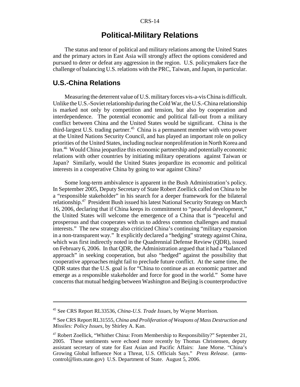## **Political-Military Relations**

The status and tenor of political and military relations among the United States and the primary actors in East Asia will strongly affect the options considered and pursued to deter or defeat any aggression in the region. U.S. policymakers face the challenge of balancing U.S. relations with the PRC, Taiwan, and Japan, in particular.

### **U.S.-China Relations**

Measuring the deterrent value of U.S. military forces vis-a-vis China is difficult. Unlike the U.S.-Soviet relationship during the Cold War, the U.S.-China relationship is marked not only by competition and tension, but also by cooperation and interdependence. The potential economic and political fall-out from a military conflict between China and the United States would be significant. China is the third-largest U.S. trading partner.<sup>45</sup> China is a permanent member with veto power at the United Nations Security Council, and has played an important role on policy priorities of the United States, including nuclear nonproliferation in North Korea and Iran.46 Would China jeopardize this economic partnership and potentially economic relations with other countries by initiating military operations against Taiwan or Japan? Similarly, would the United States jeopardize its economic and political interests in a cooperative China by going to war against China?

Some long-term ambivalence is apparent in the Bush Administration's policy. In September 2005, Deputy Secretary of State Robert Zoellick called on China to be a "responsible stakeholder" in his search for a deeper framework for the bilateral relationship.47 President Bush issued his latest National Security Strategy on March 16, 2006, declaring that if China keeps its commitment to "peaceful development," the United States will welcome the emergence of a China that is "peaceful and prosperous and that cooperates with us to address common challenges and mutual interests." The new strategy also criticized China's continuing "military expansion in a non-transparent way." It explicitly declared a "hedging" strategy against China, which was first indirectly noted in the Quadrennial Defense Review (QDR), issued on February 6, 2006. In that QDR, the Administration argued that it had a "balanced approach" in seeking cooperation, but also "hedged" against the possibility that cooperative approaches might fail to preclude future conflict. At the same time, the QDR states that the U.S. goal is for "China to continue as an economic partner and emerge as a responsible stakeholder and force for good in the world." Some have concerns that mutual hedging between Washington and Beijing is counterproductive

<sup>45</sup> See CRS Report RL33536, *China-U.S. Trade Issues*, by Wayne Morrison.

<sup>46</sup> See CRS Report RL31555, *China and Proliferation of Weapons of Mass Destruction and Missiles: Policy Issues*, by Shirley A. Kan.

<sup>47</sup> Robert Zoellick, "Whither China: From Membership to Responsibility?" September 21, 2005. These sentiments were echoed more recently by Thomas Christensen, deputy assistant secretary of state for East Asian and Pacific Affairs: Jane Morse. "China's Growing Global Influence Not a Threat, U.S. Officials Says." *Press Release*. (armscontrol@lists.state.gov) U.S. Department of State. August 5, 2006.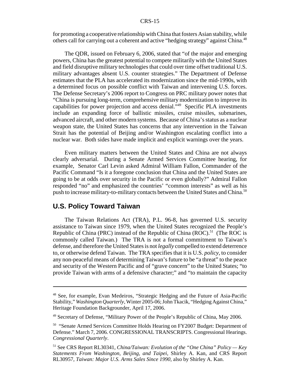for promoting a cooperative relationship with China that fosters Asian stability, while others call for carrying out a coherent and active "hedging strategy" against China.<sup>48</sup>

The QDR, issued on February 6, 2006, stated that "of the major and emerging powers, China has the greatest potential to compete militarily with the United States and field disruptive military technologies that could over time offset traditional U.S. military advantages absent U.S. counter strategies." The Department of Defense estimates that the PLA has accelerated its modernization since the mid-1990s, with a determined focus on possible conflict with Taiwan and intervening U.S. forces. The Defense Secretary's 2006 report to Congress on PRC military power notes that "China is pursuing long-term, comprehensive military modernization to improve its capabilities for power projection and access denial."49 Specific PLA investments include an expanding force of ballistic missiles, cruise missiles, submarines, advanced aircraft, and other modern systems. Because of China's status as a nuclear weapon state, the United States has concerns that any intervention in the Taiwan Strait has the potential of Beijing and/or Washington escalating conflict into a nuclear war. Both sides have made implicit and explicit warnings over the years.

Even military matters between the United States and China are not always clearly adversarial. During a Senate Armed Services Committee hearing, for example, Senator Carl Levin asked Admiral William Fallon, Commander of the Pacific Command "Is it a foregone conclusion that China and the United States are going to be at odds over security in the Pacific or even globally?" Admiral Fallon responded "no" and emphasized the countries' "common interests" as well as his push to increase military-to-military contacts between the United States and China.<sup>50</sup>

## **U.S. Policy Toward Taiwan**

The Taiwan Relations Act (TRA), P.L. 96-8, has governed U.S. security assistance to Taiwan since 1979, when the United States recognized the People's Republic of China (PRC) instead of the Republic of China  $(ROC)$ <sup>51</sup> (The ROC is commonly called Taiwan.) The TRA is not a formal commitment to Taiwan's defense, and therefore the United States is not *legally* compelled to extend deterrence to, or otherwise defend Taiwan. The TRA specifies that it is U.S. *policy*, to consider any non-peaceful means of determining Taiwan's future to be "a threat" to the peace and security of the Western Pacific and of "grave concern" to the United States; "to provide Taiwan with arms of a defensive character;" and "to maintain the capacity

<sup>48</sup> See, for example, Evan Medeiros, "Strategic Hedging and the Future of Asia-Pacific Stability," *Washington Quarterly*, Winter 2005-06; John Tkacik, "Hedging Against China," Heritage Foundation Backgrounder, April 17, 2006.

<sup>49</sup> Secretary of Defense, "Military Power of the People's Republic of China, May 2006.

<sup>&</sup>lt;sup>50</sup> "Senate Armed Services Committee Holds Hearing on FY2007 Budget: Department of Defense." March 7, 2006. CONGRESSIONAL TRANSCRIPTS. Congressional Hearings. *Congressional Quarterly*.

<sup>51</sup> See CRS Report RL30341, *China/Taiwan: Evolution of the "One China" Policy — Key Statements From Washington, Beijing, and Taipei*, Shirley A. Kan, and CRS Report RL30957, *Taiwan: Major U.S. Arms Sales Since 1990*, also by Shirley A. Kan.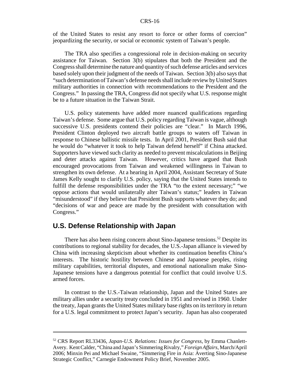of the United States to resist any resort to force or other forms of coercion" jeopardizing the security, or social or economic system of Taiwan's people.

The TRA also specifies a congressional role in decision-making on security assistance for Taiwan. Section 3(b) stipulates that both the President and the Congress shall determine the nature and quantity of such defense articles and services based solely upon their judgment of the needs of Taiwan. Section 3(b) also says that "such determination of Taiwan's defense needs shall include review by United States military authorities in connection with recommendations to the President and the Congress." In passing the TRA, Congress did not specify what U.S. response might be to a future situation in the Taiwan Strait.

U.S. policy statements have added more nuanced qualifications regarding Taiwan's defense. Some argue that U.S. policy regarding Taiwan is vague, although successive U.S. presidents contend their policies are "clear." In March 1996, President Clinton deployed two aircraft battle groups to waters off Taiwan in response to Chinese ballistic missile tests. In April 2001, President Bush said that he would do "whatever it took to help Taiwan defend herself" if China attacked. Supporters have viewed such clarity as needed to prevent miscalculations in Beijing and deter attacks against Taiwan. However, critics have argued that Bush encouraged provocations from Taiwan and weakened willingness in Taiwan to strengthen its own defense. At a hearing in April 2004, Assistant Secretary of State James Kelly sought to clarify U.S. policy, saying that the United States intends to fulfill the defense responsibilities under the TRA "to the extent necessary;" "we oppose actions that would unilaterally alter Taiwan's status;" leaders in Taiwan "misunderstood" if they believe that President Bush supports whatever they do; and "decisions of war and peace are made by the president with consultation with Congress."

### **U.S. Defense Relationship with Japan**

There has also been rising concern about Sino-Japanese tensions.<sup>52</sup> Despite its contributions to regional stability for decades, the U.S.-Japan alliance is viewed by China with increasing skepticism about whether its continuation benefits China's interests. The historic hostility between Chinese and Japanese peoples, rising military capabilities, territorial disputes, and emotional nationalism make Sino-Japanese tensions have a dangerous potential for conflict that could involve U.S. armed forces.

In contrast to the U.S.-Taiwan relationship, Japan and the United States are military allies under a security treaty concluded in 1951 and revised in 1960. Under the treaty, Japan grants the United States military base rights on its territory in return for a U.S. legal commitment to protect Japan's security. Japan has also cooperated

<sup>52</sup> CRS Report RL33436, *Japan-U.S. Relations: Issues for Congress*, by Emma Chanlett-Avery. Kent Calder, "China and Japan's Simmering Rivalry," *Foreign Affairs*, March/April 2006; Minxin Pei and Michael Swaine, "Simmering Fire in Asia: Averting Sino-Japanese Strategic Conflict," Carnegie Endowment Policy Brief, November 2005.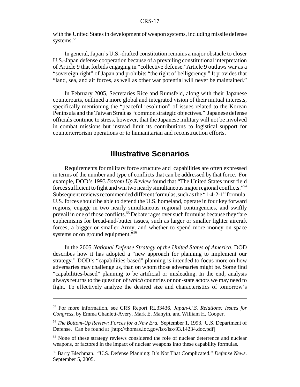with the United States in development of weapon systems, including missile defense systems.<sup>53</sup>

In general, Japan's U.S.-drafted constitution remains a major obstacle to closer U.S.-Japan defense cooperation because of a prevailing constitutional interpretation of Article 9 that forbids engaging in "collective defense."Article 9 outlaws war as a "sovereign right" of Japan and prohibits "the right of belligerency." It provides that "land, sea, and air forces, as well as other war potential will never be maintained."

In February 2005, Secretaries Rice and Rumsfeld, along with their Japanese counterparts, outlined a more global and integrated vision of their mutual interests, specifically mentioning the "peaceful resolution" of issues related to the Korean Peninsula and the Taiwan Strait as "common strategic objectives." Japanese defense officials continue to stress, however, that the Japanese military will not be involved in combat missions but instead limit its contributions to logistical support for counterterrorism operations or to humanitarian and reconstruction efforts.

## **Illustrative Scenarios**

Requirements for military force structure and capabilities are often expressed in terms of the number and type of conflicts that can be addressed by that force. For example, DOD's 1993 *Bottom Up Review* found that "The United States must field forces sufficient to fight and win two nearly simultaneous major regional conflicts."54 Subsequent reviews recommended different formulas, such as the "1-4-2-1" formula: U.S. forces should be able to defend the U.S. homeland, operate in four key forward regions, engage in two nearly simultaneous regional contingencies, and swiftly prevail in one of those conflicts.<sup>55</sup> Debate rages over such formulas because they "are euphemisms for bread-and-butter issues, such as larger or smaller fighter aircraft forces, a bigger or smaller Army, and whether to spend more money on space systems or on ground equipment."<sup>56</sup>

In the 2005 *National Defense Strategy of the United States of America*, DOD describes how it has adopted a "new approach for planning to implement our strategy." DOD's "capabilities-based" planning is intended to focus more on how adversaries may challenge us, than on whom those adversaries might be. Some find "capabilities-based" planning to be artificial or misleading. In the end, analysis always returns to the question of *which* countries or non-state actors we may need to fight. To effectively analyze the desired size and characteristics of tomorrow's

<sup>53</sup> For more information, see CRS Report RL33436, *Japan-U.S. Relations: Issues for Congress*, by Emma Chanlett-Avery. Mark E. Manyin, and William H. Cooper.

<sup>54</sup> *The Bottom-Up Review: Forces for a New Era.* September 1, 1993. U.S. Department of Defense. Can be found at [http://thomas.loc.gov/lsx/lsx/93.14234.doc.pdf]

<sup>&</sup>lt;sup>55</sup> None of these strategy reviews considered the role of nuclear deterrence and nuclear weapons, or factored in the impact of nuclear weapons into these capability formulas.

<sup>56</sup> Barry Blechman. "U.S. Defense Planning: It's Not That Complicated." *Defense News*. September 5, 2005.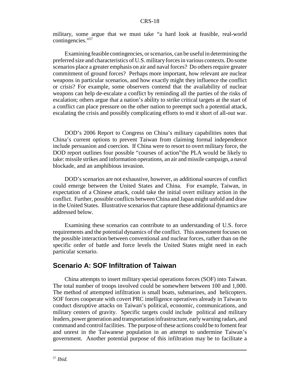military, some argue that we must take "a hard look at feasible, real-world contingencies."<sup>57</sup>

Examining feasible contingencies, or scenarios, can be useful in determining the preferred size and characteristics of U.S. military forces in various contexts. Do some scenarios place a greater emphasis on air and naval forces? Do others require greater commitment of ground forces? Perhaps more important, how relevant are nuclear weapons in particular scenarios, and how exactly might they influence the conflict or crisis? For example, some observers contend that the availability of nuclear weapons can help de-escalate a conflict by reminding all the parties of the risks of escalation; others argue that a nation's ability to strike critical targets at the start of a conflict can place pressure on the other nation to preempt such a potential attack, escalating the crisis and possibly complicating efforts to end it short of all-out war.

DOD's 2006 Report to Congress on China's military capabilities notes that China's current options to prevent Taiwan from claiming formal independence include persuasion and coercion. If China were to resort to overt military force, the DOD report outlines four possible "courses of action"the PLA would be likely to take: missile strikes and information operations, an air and missile campaign, a naval blockade, and an amphibious invasion.

DOD's scenarios are not exhaustive, however, as additional sources of conflict could emerge between the United States and China. For example, Taiwan, in expectation of a Chinese attack, could take the initial overt military action in the conflict. Further, possible conflicts between China and Japan might unfold and draw in the United States. Illustrative scenarios that capture these additional dynamics are addressed below.

Examining these scenarios can contribute to an understanding of U.S. force requirements and the potential dynamics of the conflict. This assessment focuses on the possible interaction between conventional and nuclear forces, rather than on the specific order of battle and force levels the United States might need in each particular scenario.

### **Scenario A: SOF Infiltration of Taiwan**

China attempts to insert military special operations forces (SOF) into Taiwan. The total number of troops involved could be somewhere between 100 and 1,000. The method of attempted infiltration is small boats, submarines, and helicopters. SOF forces cooperate with covert PRC intelligence operatives already in Taiwan to conduct disruptive attacks on Taiwan's political, economic, communications, and military centers of gravity. Specific targets could include political and military leaders, power generation and transportation infrastructure, early warning radars, and command and control facilities. The purpose of these actions could be to foment fear and unrest in the Taiwanese population in an attempt to undermine Taiwan's government. Another potential purpose of this infiltration may be to facilitate a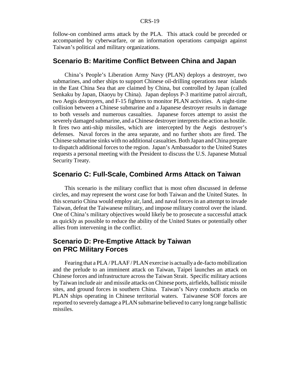follow-on combined arms attack by the PLA. This attack could be preceded or accompanied by cyberwarfare, or an information operations campaign against Taiwan's political and military organizations.

## **Scenario B: Maritime Conflict Between China and Japan**

China's People's Liberation Army Navy (PLAN) deploys a destroyer, two submarines, and other ships to support Chinese oil-drilling operations near islands in the East China Sea that are claimed by China, but controlled by Japan (called Senkaku by Japan, Diaoyu by China). Japan deploys P-3 maritime patrol aircraft, two Aegis destroyers, and F-15 fighters to monitor PLAN activities. A night-time collision between a Chinese submarine and a Japanese destroyer results in damage to both vessels and numerous casualties. Japanese forces attempt to assist the severely damaged submarine, and a Chinese destroyer interprets the action as hostile. It fires two anti-ship missiles, which are intercepted by the Aegis destroyer's defenses. Naval forces in the area separate, and no further shots are fired. The Chinese submarine sinks with no additional casualties. Both Japan and China prepare to dispatch additional forces to the region. Japan's Ambassador to the United States requests a personal meeting with the President to discuss the U.S. Japanese Mutual Security Treaty.

## **Scenario C: Full-Scale, Combined Arms Attack on Taiwan**

This scenario is the military conflict that is most often discussed in defense circles, and may represent the worst case for both Taiwan and the United States. In this scenario China would employ air, land, and naval forces in an attempt to invade Taiwan, defeat the Taiwanese military, and impose military control over the island. One of China's military objectives would likely be to prosecute a successful attack as quickly as possible to reduce the ability of the United States or potentially other allies from intervening in the conflict.

## **Scenario D: Pre-Emptive Attack by Taiwan on PRC Military Forces**

Fearing that a PLA / PLAAF / PLAN exercise is actually a de-facto mobilization and the prelude to an imminent attack on Taiwan, Taipei launches an attack on Chinese forces and infrastructure across the Taiwan Strait. Specific military actions by Taiwan include air and missile attacks on Chinese ports, airfields, ballistic missile sites, and ground forces in southern China. Taiwan's Navy conducts attacks on PLAN ships operating in Chinese territorial waters. Taiwanese SOF forces are reported to severely damage a PLAN submarine believed to carry long range ballistic missiles.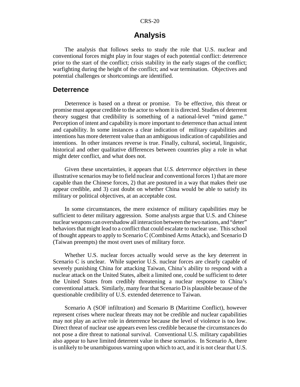## **Analysis**

The analysis that follows seeks to study the role that U.S. nuclear and conventional forces might play in four stages of each potential conflict: deterrence prior to the start of the conflict; crisis stability in the early stages of the conflict; warfighting during the height of the conflict; and war termination. Objectives and potential challenges or shortcomings are identified.

#### **Deterrence**

Deterrence is based on a threat or promise. To be effective, this threat or promise must appear credible to the actor to whom it is directed. Studies of deterrent theory suggest that credibility is something of a national-level "mind game." Perception of intent and capability is more important to deterrence than actual intent and capability. In some instances a clear indication of military capabilities and intentions has more deterrent value than an ambiguous indication of capabilities and intentions. In other instances reverse is true. Finally, cultural, societal, linguistic, historical and other qualitative differences between countries play a role in what might deter conflict, and what does not.

Given these uncertainties, it appears that *U.S. deterrence objectives* in these illustrative scenarios may be to field nuclear and conventional forces 1) that are more capable than the Chinese forces, 2) that are postured in a way that makes their use appear credible, and 3) cast doubt on whether China would be able to satisfy its military or political objectives, at an acceptable cost.

In some circumstances, the mere existence of military capabilities may be sufficient to deter military aggression. Some analysts argue that U.S. and Chinese nuclear weapons can overshadow all interaction between the two nations, and "deter" behaviors that might lead to a conflict that could escalate to nuclear use. This school of thought appears to apply to Scenario C (Combined Arms Attack), and Scenario D (Taiwan preempts) the most overt uses of military force.

Whether U.S. nuclear forces actually would serve as the key deterrent in Scenario C is unclear. While superior U.S. nuclear forces are clearly capable of severely punishing China for attacking Taiwan, China's ability to respond with a nuclear attack on the United States, albeit a limited one, could be sufficient to deter the United States from credibly threatening a nuclear response to China's conventional attack. Similarly, many fear that Scenario D is plausible because of the questionable credibility of U.S. extended deterrence to Taiwan.

Scenario A (SOF infiltration) and Scenario B (Maritime Conflict), however represent crises where nuclear threats may not be credible and nuclear capabilities may not play an active role in deterrence because the level of violence is too low. Direct threat of nuclear use appears even less credible because the circumstances do not pose a dire threat to national survival. Conventional U.S. military capabilities also appear to have limited deterrent value in these scenarios. In Scenario A, there is unlikely to be unambiguous warning upon which to act, and it is not clear that U.S.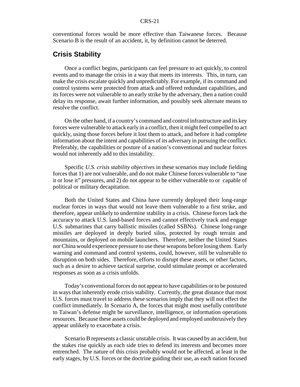conventional forces would be more effective than Taiwanese forces. Because Scenario B is the result of an accident, it, by definition cannot be deterred.

#### **Crisis Stability**

Once a conflict begins, participants can feel pressure to act quickly, to control events and to manage the crisis in a way that meets its interests. This, in turn, can make the crisis escalate quickly and unpredictably. For example, if its command and control systems were protected from attack and offered redundant capabilities, and its forces were not vulnerable to an early strike by the adversary, then a nation could delay its response, await further information, and possibly seek alternate means to resolve the conflict.

On the other hand, if a country's command and control infrastructure and its key forces were vulnerable to attack early in a conflict, then it might feel compelled to act quickly, using those forces before it lost them to attack, and before it had complete information about the intent and capabilities of its adversary in pursuing the conflict. Preferably, the capabilities or posture of a nation's conventional and nuclear forces would not inherently add to this instability.

Specific *U.S. crisis stability objectives* in these scenarios may include fielding forces that 1) are not vulnerable, and do not make Chinese forces vulnerable to "use it or lose it" pressures, and 2) do not appear to be either vulnerable to or capable of political or military decapitation.

Both the United States and China have currently deployed their long-range nuclear forces in ways that would not leave them vulnerable to a first strike, and therefore, appear unlikely to undermine stability in a crisis. Chinese forces lack the accuracy to attack U.S. land-based forces and cannot effectively track and engage U.S. submarines that carry ballistic missiles (called SSBNs). Chinese long-range missiles are deployed in deeply buried silos, protected by rough terrain and mountains, or deployed on mobile launchers. Therefore, neither the United States nor China would experience pressure to use these weapons before losing them. Early warning and command and control systems, could, however, still be vulnerable to disruption on both sides. Therefore, efforts to disrupt these assets, or other factors, such as a desire to achieve tactical surprise, could stimulate prompt or accelerated responses as soon as a crisis unfolds.

Today's conventional forces do not appear to have capabilities or to be postured in ways that inherently erode crisis stability. Currently, the great distance that most U.S. forces must travel to address these scenarios imply that they will not effect the conflict immediately. In Scenario A, the forces that might most usefully contribute to Taiwan's defense might be surveillance, intelligence, or information operations resources. Because these assets could be deployed and employed unobtrusively they appear unlikely to exacerbate a crisis.

Scenario B represents a classic unstable crisis. It was caused by an accident, but the stakes rise quickly as each side tries to defend its interests and becomes more entrenched. The nature of this crisis probably would not be affected, at least in the early stages, by U.S. forces or the doctrine guiding their use, as each nation focused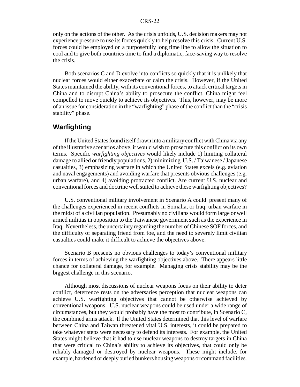only on the actions of the other. As the crisis unfolds, U.S. decision makers may not experience pressure to use its forces quickly to help resolve this crisis. Current U.S. forces could be employed on a purposefully long time line to allow the situation to cool and to give both countries time to find a diplomatic, face-saving way to resolve the crisis.

Both scenarios C and D evolve into conflicts so quickly that it is unlikely that nuclear forces would either exacerbate or calm the crisis. However, if the United States maintained the ability, with its conventional forces, to attack critical targets in China and to disrupt China's ability to prosecute the conflict, China might feel compelled to move quickly to achieve its objectives. This, however, may be more of an issue for consideration in the "warfighting" phase of the conflict than the "crisis stability" phase.

## **Warfighting**

If the United States found itself drawn into a military conflict with China via any of the illustrative scenarios above, it would wish to prosecute this conflict on its own terms. Specific *warfighting objectives* would likely include 1) limiting collateral damage to allied or friendly populations, 2) minimizing U.S. / Taiwanese / Japanese casualties, 3) emphasizing warfare in which the United States excels (e.g. aviation and naval engagements) and avoiding warfare that presents obvious challenges (e.g. urban warfare), and 4) avoiding protracted conflict. Are current U.S. nuclear and conventional forces and doctrine well suited to achieve these warfighting objectives?

U.S. conventional military involvement in Scenario A could present many of the challenges experienced in recent conflicts in Somalia, or Iraq: urban warfare in the midst of a civilian population. Presumably no civilians would form large or well armed militias in opposition to the Taiwanese government such as the experience in Iraq. Nevertheless, the uncertainty regarding the number of Chinese SOF forces, and the difficulty of separating friend from foe, and the need to severely limit civilian casualties could make it difficult to achieve the objectives above.

Scenario B presents no obvious challenges to today's conventional military forces in terms of achieving the warfighting objectives above. There appears little chance for collateral damage, for example. Managing crisis stability may be the biggest challenge in this scenario.

Although most discussions of nuclear weapons focus on their ability to deter conflict, deterrence rests on the adversaries perception that nuclear weapons can achieve U.S. warfighting objectives that cannot be otherwise achieved by conventional weapons. U.S. nuclear weapons could be used under a wide range of circumstances, but they would probably have the most to contribute, in Scenario C, the combined arms attack. If the United States determined that this level of warfare between China and Taiwan threatened vital U.S. interests, it could be prepared to take whatever steps were necessary to defend its interests. For example, the United States might believe that it had to use nuclear weapons to destroy targets in China that were critical to China's ability to achieve its objectives, that could only be reliably damaged or destroyed by nuclear weapons. These might include, for example, hardened or deeply buried bunkers housing weapons or command facilities.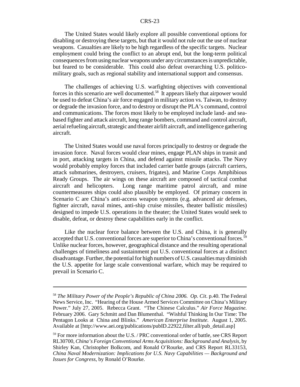The United States would likely explore all possible conventional options for disabling or destroying these targets, but that it would not rule out the use of nuclear weapons. Casualties are likely to be high regardless of the specific targets. Nuclear employment could bring the conflict to an abrupt end, but the long-term political consequences from using nuclear weapons under any circumstances is unpredictable, but feared to be considerable. This could also defeat overarching U.S. politicomilitary goals, such as regional stability and international support and consensus.

The challenges of achieving U.S. warfighting objectives with conventional forces in this scenario are well documented.58 It appears likely that airpower would be used to defeat China's air force engaged in military action vs. Taiwan, to destroy or degrade the invasion force, and to destroy or disrupt the PLA's command, control and communications. The forces most likely to be employed include land- and seabased fighter and attack aircraft, long range bombers, command and control aircraft, aerial refueling aircraft, strategic and theater airlift aircraft, and intelligence gathering aircraft.

The United States would use naval forces principally to destroy or degrade the invasion force. Naval forces would clear mines, engage PLAN ships in transit and in port, attacking targets in China, and defend against missile attacks. The Navy would probably employ forces that included carrier battle groups (aircraft carriers, attack submarines, destroyers, cruisers, frigates), and Marine Corps Amphibious Ready Groups. The air wings on these aircraft are composed of tactical combat aircraft and helicopters. Long range maritime patrol aircraft, and mine countermeasures ships could also plausibly be employed. Of primary concern in Scenario C are China's anti-access weapon systems (e.g. advanced air defenses, fighter aircraft, naval mines, anti-ship cruise missiles, theater ballistic missiles) designed to impede U.S. operations in the theater; the United States would seek to disable, defeat, or destroy these capabilities early in the conflict.

Like the nuclear force balance between the U.S. and China, it is generally accepted that U.S. conventional forces are superior to China's conventional forces.<sup>59</sup> Unlike nuclear forces, however, geographical distance and the resulting operational challenges of timeliness and sustainment put U.S. conventional forces at a distinct disadvantage. Further, the potential for high numbers of U.S. casualties may diminish the U.S. appetite for large scale conventional warfare, which may be required to prevail in Scenario C.

<sup>58</sup> *The Military Power of the People's Republic of China 2006. Op. Cit*. p.40. The Federal News Service, Inc. "Hearing of the House Armed Services Committee on China's Military Power." July 27, 2005. Rebecca Grant. "The Chinese Calculus." *Air Force Magazine.* February 2006. Gary Schmitt and Dan Blumenthal. "Wishful Thinking In Our Time: The Pentagon Looks at China and Blinks." *American Enterprise Institute.* August 1, 2005. Available at [http://www.aei.org/publications/pubID.22922, filter.all/pub\_detail.asp]

<sup>&</sup>lt;sup>59</sup> For more information about the U.S. / PRC conventional order of battle, see CRS Report RL30700, *China's Foreign Conventional Arms Acquisitions: Background and Analysis*, by Shirley Kan, Christopher Bolkcom, and Ronald O'Rourke, and CRS Report RL33153, *China Naval Modernization: Implications for U.S. Navy Capabilities — Background and Issues for Congress*, by Ronald O'Rourke.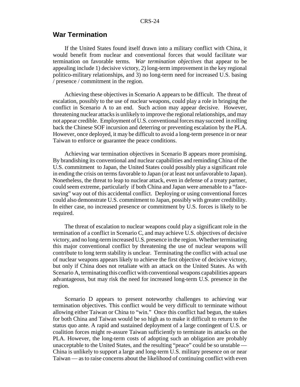#### **War Termination**

If the United States found itself drawn into a military conflict with China, it would benefit from nuclear and conventional forces that would facilitate war termination on favorable terms. *War termination objectives* that appear to be appealing include 1) decisive victory, 2) long-term improvement in the key regional politico-military relationships, and 3) no long-term need for increased U.S. basing / presence / commitment in the region.

Achieving these objectives in Scenario A appears to be difficult. The threat of escalation, possibly to the use of nuclear weapons, could play a role in bringing the conflict in Scenario A to an end. Such action may appear decisive. However, threatening nuclear attacks is unlikely to improve the regional relationships, and may not appear credible. Employment of U.S. conventional forces may succeed in rolling back the Chinese SOF incursion and deterring or preventing escalation by the PLA. However, once deployed, it may be difficult to avoid a long-term presence in or near Taiwan to enforce or guarantee the peace conditions.

Achieving war termination objectives in Scenario B appears more promising. By brandishing its conventional and nuclear capabilities and reminding China of the U.S. commitment to Japan, the United States could possibly play a significant role in ending the crisis on terms favorable to Japan (or at least not unfavorable to Japan). Nonetheless, the threat to leap to nuclear attack, even in defense of a treaty partner, could seem extreme, particularly if both China and Japan were amenable to a "facesaving" way out of this accidental conflict. Deploying or using conventional forces could also demonstrate U.S. commitment to Japan, possibly with greater credibility. In either case, no increased presence or commitment by U.S. forces is likely to be required.

The threat of escalation to nuclear weapons could play a significant role in the termination of a conflict in Scenario C, and may achieve U.S. objectives of decisive victory, and no long-term increased U.S. presence in the region. Whether terminating this major conventional conflict by threatening the use of nuclear weapons will contribute to long term stability is unclear. Terminating the conflict with actual use of nuclear weapons appears likely to achieve the first objective of decisive victory, but only if China does not retaliate with an attack on the United States. As with Scenario A, terminating this conflict with conventional weapons capabilities appears advantageous, but may risk the need for increased long-term U.S. presence in the region.

Scenario D appears to present noteworthy challenges to achieving war termination objectives. This conflict would be very difficult to terminate without allowing either Taiwan or China to "win." Once this conflict had begun, the stakes for both China and Taiwan would be so high as to make it difficult to return to the status quo ante. A rapid and sustained deployment of a large contingent of U.S. or coalition forces might re-assure Taiwan sufficiently to terminate its attacks on the PLA. However, the long-term costs of adopting such an obligation are probably unacceptable to the United States, and the resulting "peace" could be so unstable — China is unlikely to support a large and long-term U.S. military presence on or near Taiwan — as to raise concerns about the likelihood of continuing conflict with even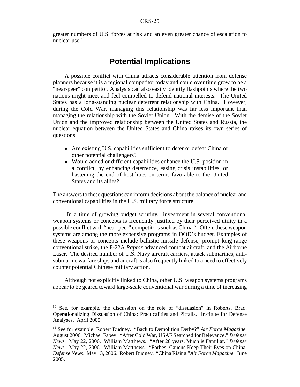greater numbers of U.S. forces at risk and an even greater chance of escalation to nuclear use.<sup>60</sup>

## **Potential Implications**

A possible conflict with China attracts considerable attention from defense planners because it is a regional competitor today and could over time grow to be a "near-peer" competitor. Analysts can also easily identify flashpoints where the two nations might meet and feel compelled to defend national interests. The United States has a long-standing nuclear deterrent relationship with China. However, during the Cold War, managing this relationship was far less important than managing the relationship with the Soviet Union. With the demise of the Soviet Union and the improved relationship between the United States and Russia, the nuclear equation between the United States and China raises its own series of questions:

- Are existing U.S. capabilities sufficient to deter or defeat China or other potential challengers?
- Would added or different capabilities enhance the U.S. position in a conflict, by enhancing deterrence, easing crisis instabilities, or hastening the end of hostilities on terms favorable to the United States and its allies?

The answers to these questions can inform decisions about the balance of nuclear and conventional capabilities in the U.S. military force structure.

 In a time of growing budget scrutiny, investment in several conventional weapon systems or concepts is frequently justified by their perceived utility in a possible conflict with "near-peer" competitors such as China.<sup>61</sup> Often, these weapon systems are among the more expensive programs in DOD's budget. Examples of these weapons or concepts include ballistic missile defense, prompt long-range conventional strike, the F-22A *Raptor* advanced combat aircraft, and the Airborne Laser. The desired number of U.S. Navy aircraft carriers, attack submarines, antisubmarine warfare ships and aircraft is also frequently linked to a need to effectively counter potential Chinese military action.

Although not explicitly linked to China, other U.S. weapon systems programs appear to be geared toward large-scale conventional war during a time of increasing

<sup>60</sup> See, for example, the discussion on the role of "dissuasion" in Roberts, Brad. Operationalizing Dissuasion of China: Practicalities and Pitfalls. Institute for Defense Analyses. April 2005.

<sup>61</sup> See for example: Robert Dudney. "Back to Demolition Derby?" *Air Force Magazine.* August 2006. Michael Fabey. "After Cold War, USAF Searched for Relevance." *Defense News.* May 22, 2006. William Matthews. "After 20 years, Much is Familiar." *Defense News.* May 22, 2006. William Matthews. "Forbes, Caucus Keep Their Eyes on China. *Defense News*. May 13, 2006. Robert Dudney. "China Rising."*Air Force Magazine.* June 2005.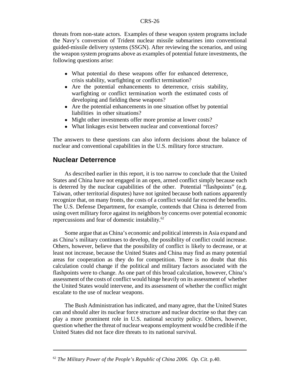threats from non-state actors. Examples of these weapon system programs include the Navy's conversion of Trident nuclear missile submarines into conventional guided-missile delivery systems (SSGN). After reviewing the scenarios, and using the weapon system programs above as examples of potential future investments, the following questions arise:

- What potential do these weapons offer for enhanced deterrence, crisis stability, warfighting or conflict termination?
- ! Are the potential enhancements to deterrence, crisis stability, warfighting or conflict termination worth the estimated costs of developing and fielding these weapons?
- Are the potential enhancements in one situation offset by potential liabilities in other situations?
- Might other investments offer more promise at lower costs?
- What linkages exist between nuclear and conventional forces?

The answers to these questions can also inform decisions about the balance of nuclear and conventional capabilities in the U.S. military force structure.

### **Nuclear Deterrence**

As described earlier in this report, it is too narrow to conclude that the United States and China have not engaged in an open, armed conflict simply because each is deterred by the nuclear capabilities of the other. Potential "flashpoints" (e.g. Taiwan, other territorial disputes) have not ignited because both nations apparently recognize that, on many fronts, the costs of a conflict would far exceed the benefits. The U.S. Defense Department, for example, contends that China is deterred from using overt military force against its neighbors by concerns over potential economic repercussions and fear of domestic instability.62

Some argue that as China's economic and political interests in Asia expand and as China's military continues to develop, the possibility of conflict could increase. Others, however, believe that the possibility of conflict is likely to decrease, or at least not increase, because the United States and China may find as many potential areas for cooperation as they do for competition. There is no doubt that this calculation could change if the political and military factors associated with the flashpoints were to change. As one part of this broad calculation, however, China's assessment of the costs of conflict would hinge heavily on its assessment of whether the United States would intervene, and its assessment of whether the conflict might escalate to the use of nuclear weapons.

The Bush Administration has indicated, and many agree, that the United States can and should alter its nuclear force structure and nuclear doctrine so that they can play a more prominent role in U.S. national security policy. Others, however, question whether the threat of nuclear weapons employment would be credible if the United States did not face dire threats to its national survival.

<sup>62</sup> *The Military Power of the People's Republic of China 2006. Op. Cit*. p.40.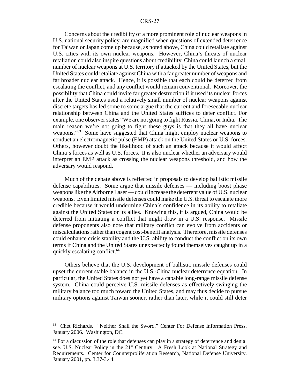Concerns about the credibility of a more prominent role of nuclear weapons in U.S. national security policy are magnified when questions of extended deterrence for Taiwan or Japan come up because, as noted above, China could retaliate against U.S. cities with its own nuclear weapons. However, China's threats of nuclear retaliation could also inspire questions about credibility. China could launch a small number of nuclear weapons at U.S. territory if attacked by the United States, but the United States could retaliate against China with a far greater number of weapons and far broader nuclear attack. Hence, it is possible that each could be deterred from escalating the conflict, and any conflict would remain conventional. Moreover, the possibility that China could invite far greater destruction if it used its nuclear forces after the United States used a relatively small number of nuclear weapons against discrete targets has led some to some argue that the current and foreseeable nuclear relationship between China and the United States suffices to deter conflict. For example, one observer states "We are not going to fight Russia, China, or India. The main reason we're not going to fight these guys is that they all have nuclear weapons."<sup>63</sup> Some have suggested that China might employ nuclear weapons to conduct an electromagnetic pulse (EMP) attack on the United States or U.S. forces. Others, however doubt the likelihood of such an attack because it would affect China's forces as well as U.S. forces. It is also unclear whether an adversary would interpret an EMP attack as crossing the nuclear weapons threshold, and how the adversary would respond.

Much of the debate above is reflected in proposals to develop ballistic missile defense capabilities. Some argue that missile defenses — including boost phase weapons like the Airborne Laser — could increase the deterrent value of U.S. nuclear weapons. Even limited missile defenses could make the U.S. threat to escalate more credible because it would undermine China's confidence in its ability to retaliate against the United States or its allies. Knowing this, it is argued, China would be deterred from initiating a conflict that might draw in a U.S. response. Missile defense proponents also note that military conflict can evolve from accidents or miscalculations rather than cogent cost-benefit analysis. Therefore, missile defenses could enhance crisis stability and the U.S. ability to conduct the conflict on its own terms if China and the United States unexpectedly found themselves caught up in a quickly escalating conflict.<sup>64</sup>

Others believe that the U.S. development of ballistic missile defenses could upset the current stable balance in the U.S.-China nuclear deterrence equation. In particular, the United States does not yet have a capable long-range missile defense system. China could perceive U.S. missile defenses as effectively swinging the military balance too much toward the United States, and may thus decide to pursue military options against Taiwan sooner, rather than later, while it could still deter

<sup>63</sup> Chet Richards. "Neither Shall the Sword." Center For Defense Information Press. January 2006. Washington, DC.

 $64$  For a discussion of the role that defenses can play in a strategy of deterrence and denial see. U.S. Nuclear Policy in the 21st Century. A Fresh Look at National Strategy and Requirements. Center for Counterproliferation Research, National Defense University. January 2001, pp. 3.37-3.44.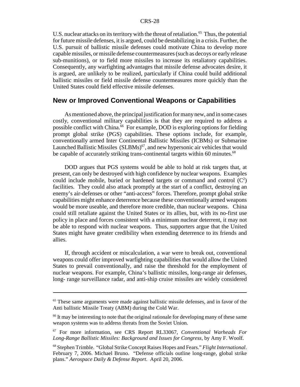U.S. nuclear attacks on its territory with the threat of retaliation.<sup>65</sup> Thus, the potential for future missile defenses, it is argued, could be destabilizing in a crisis. Further, the U.S. pursuit of ballistic missile defenses could motivate China to develop more capable missiles, or missile defense countermeasures (such as decoys or early release sub-munitions), or to field more missiles to increase its retaliatory capabilities. Consequently, any warfighting advantages that missile defense advocates desire, it is argued, are unlikely to be realized, particularly if China could build additional ballistic missiles or field missile defense countermeasures more quickly than the United States could field effective missile defenses.

#### **New or Improved Conventional Weapons or Capabilities**

As mentioned above, the principal justification for many new, and in some cases costly, conventional military capabilities is that they are required to address a possible conflict with China.66 For example, DOD is exploring options for fielding prompt global strike (PGS) capabilities. These options include, for example, conventionally armed Inter Continental Ballistic Missiles (ICBMs) or Submarine Launched Ballistic Missiles  $(SLBMs)^{67}$ , and new hypersonic air vehicles that would be capable of accurately striking trans-continental targets within 60 minutes.<sup>68</sup>

DOD argues that PGS systems would be able to hold at risk targets that, at present, can only be destroyed with high confidence by nuclear weapons. Examples could include mobile, buried or hardened targets or command and control  $(C<sup>2</sup>)$ facilities. They could also attack promptly at the start of a conflict, destroying an enemy's air-defenses or other "anti-access" forces. Therefore, prompt global strike capabilities might enhance deterrence because these conventionally armed weapons would be more useable, and therefore more credible, than nuclear weapons. China could still retaliate against the United States or its allies, but, with its no-first use policy in place and forces consistent with a minimum nuclear deterrent, it may not be able to respond with nuclear weapons. Thus, supporters argue that the United States might have greater credibility when extending deterrence to its friends and allies.

If, through accident or miscalculation, a war were to break out, conventional weapons could offer improved warfighting capabilities that would allow the United States to prevail conventionally, and raise the threshold for the employment of nuclear weapons. For example, China's ballistic missiles, long-range air defenses, long- range surveillance radar, and anti-ship cruise missiles are widely considered

<sup>&</sup>lt;sup>65</sup> These same arguments were made against ballistic missile defenses, and in favor of the Anti ballistic Missile Treaty (ABM) during the Cold War.

<sup>&</sup>lt;sup>66</sup> It may be interesting to note that the original rationale for developing many of these same weapon systems was to address threats from the Soviet Union.

<sup>67</sup> For more information, see CRS Report RL33067, *Conventional Warheads For Long-Range Ballistic Missiles: Background and Issues for Congress*, by Amy F. Woolf.

<sup>68</sup> Stephen Trimble. "Global Strike Concept Raises Hopes and Fears." *Flight International*. February 7, 2006. Michael Bruno. "Defense officials outline long-range, global strike plans." *Aerospace Daily & Defense Report*. April 20, 2006.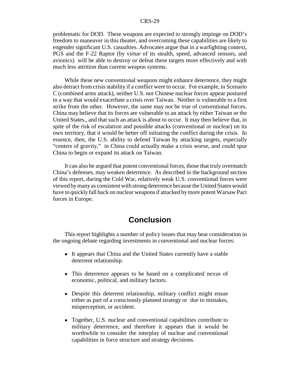problematic for DOD. These weapons are expected to strongly impinge on DOD's freedom to maneuver in this theater, and overcoming these capabilities are likely to engender significant U.S. casualties. Advocates argue that in a warfighting context, PGS and the F-22 Raptor (by virtue of its stealth, speed, advanced sensors, and avionics) will be able to destroy or defeat these targets more effectively and with much less attrition than current weapon systems.

While these new conventional weapons might enhance deterrence, they might also detract from crisis stability if a conflict were to occur. For example, in Scenario C (combined arms attack), neither U.S. nor Chinese nuclear forces appear postured in a way that would exacerbate a crisis over Taiwan. Neither is vulnerable to a first strike from the other. However, the same may not be true of conventional forces. China may believe that its forces are vulnerable to an attack by either Taiwan or the United States., and that such an attack is about to occur. It may then believe that, in spite of the risk of escalation and possible attacks (conventional or nuclear) on its own territory, that it would be better off initiating the conflict during the crisis. In essence, then, the U.S. ability to defend Taiwan by attacking targets, especially "centers of gravity," in China could actually make a crisis worse, and could spur China to begin or expand its attack on Taiwan.

It can also be argued that potent conventional forces, those that truly overmatch China's defenses, may weaken deterrence. As described in the background section of this report, during the Cold War, relatively weak U.S. conventional forces were viewed by many as consistent with strong deterrence because the United States would have to quickly fall back on nuclear weapons if attacked by more potent Warsaw Pact forces in Europe.

## **Conclusion**

This report highlights a number of policy issues that may bear consideration in the ongoing debate regarding investments in conventional and nuclear forces:

- It appears that China and the United States currently have a stable deterrent relationship.
- ! This deterrence appears to be based on a complicated nexus of economic, political, and military factors.
- Despite this deterrent relationship, military conflict might ensue either as part of a consciously planned strategy or due to mistakes, misperception, or accident.
- Together, U.S. nuclear and conventional capabilities contribute to military deterrence, and therefore it appears that it would be worthwhile to consider the interplay of nuclear and conventional capabilities in force structure and strategy decisions.